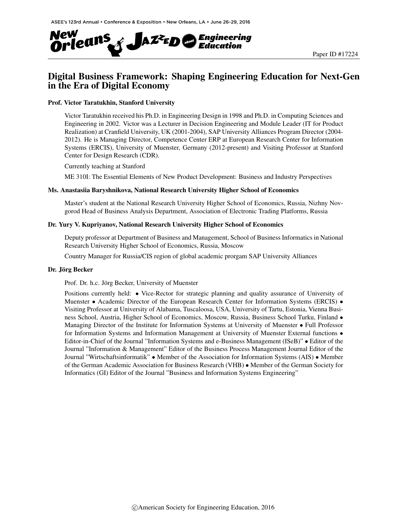

## Digital Business Framework: Shaping Engineering Education for Next-Gen in the Era of Digital Economy

#### Prof. Victor Taratukhin, Stanford University

Victor Taratukhin received his Ph.D. in Engineering Design in 1998 and Ph.D. in Computing Sciences and Engineering in 2002. Victor was a Lecturer in Decision Engineering and Module Leader (IT for Product Realization) at Cranfield University, UK (2001-2004), SAP University Alliances Program Director (2004- 2012). He is Managing Director, Competence Center ERP at European Research Center for Information Systems (ERCIS), University of Muenster, Germany (2012-present) and Visiting Professor at Stanford Center for Design Research (CDR).

Currently teaching at Stanford

ME 310I: The Essential Elements of New Product Development: Business and Industry Perspectives

#### Ms. Anastasiia Baryshnikova, National Research University Higher School of Economics

Master's student at the National Research University Higher School of Economics, Russia, Nizhny Novgorod Head of Business Analysis Department, Association of Electronic Trading Platforms, Russia

#### Dr. Yury V. Kupriyanov, National Research University Higher School of Economics

Deputy professor at Department of Business and Management, School of Business Informatics in National Research University Higher School of Economics, Russia, Moscow

Country Manager for Russia/CIS region of global academic prorgam SAP University Alliances

#### Dr. Jörg Becker

Prof. Dr. h.c. Jörg Becker, University of Muenster

Positions currently held: • Vice-Rector for strategic planning and quality assurance of University of Muenster • Academic Director of the European Research Center for Information Systems (ERCIS) • Visiting Professor at University of Alabama, Tuscaloosa, USA, University of Tartu, Estonia, Vienna Business School, Austria, Higher School of Economics, Moscow, Russia, Business School Turku, Finland • Managing Director of the Institute for Information Systems at University of Muenster • Full Professor for Information Systems and Information Management at University of Muenster External functions  $\bullet$ Editor-in-Chief of the Journal "Information Systems and e-Business Management (ISeB)" • Editor of the Journal "Information & Management" Editor of the Business Process Management Journal Editor of the Journal "Wirtschaftsinformatik" • Member of the Association for Information Systems (AIS) • Member of the German Academic Association for Business Research (VHB) • Member of the German Society for Informatics (GI) Editor of the Journal "Business and Information Systems Engineering"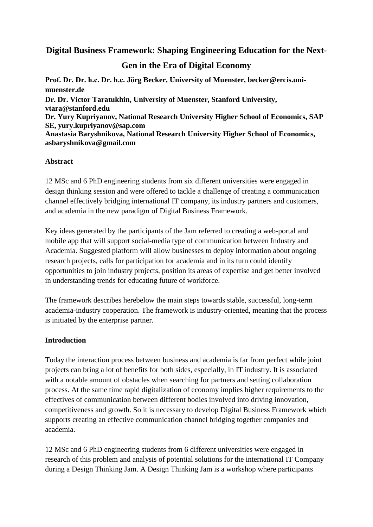# **Digital Business Framework: Shaping Engineering Education for the Next-**

# **Gen in the Era of Digital Economy**

**Prof. Dr. Dr. h.c. Dr. h.c. Jörg Becker, University of Muenster, becker@ercis.unimuenster.de Dr. Dr. Victor Taratukhin, University of Muenster, Stanford University, [vtara@stanford.edu](mailto:vtara@stanford.edu) Dr. Yury Kupriyanov, National Research University Higher School of Economics, SAP SE, [yury.kupriyanov@sap.com](mailto:yury.kupriyanov@sap.com) Anastasia Baryshnikova, National Research University Higher School of Economics, asbaryshnikova@gmail.com**

### **Abstract**

12 MSc and 6 PhD engineering students from six different universities were engaged in design thinking session and were offered to tackle a challenge of creating a communication channel effectively bridging international IT company, its industry partners and customers, and academia in the new paradigm of Digital Business Framework.

Key ideas generated by the participants of the Jam referred to creating a web-portal and mobile app that will support social-media type of communication between Industry and Academia. Suggested platform will allow businesses to deploy information about ongoing research projects, calls for participation for academia and in its turn could identify opportunities to join industry projects, position its areas of expertise and get better involved in understanding trends for educating future of workforce.

The framework describes herebelow the main steps towards stable, successful, long-term academia-industry cooperation. The framework is industry-oriented, meaning that the process is initiated by the enterprise partner.

### **Introduction**

Today the interaction process between business and academia is far from perfect while joint projects can bring a lot of benefits for both sides, especially, in IT industry. It is associated with a notable amount of obstacles when searching for partners and setting collaboration process. At the same time rapid digitalization of economy implies higher requirements to the effectives of communication between different bodies involved into driving innovation, competitiveness and growth. So it is necessary to develop Digital Business Framework which supports creating an effective communication channel bridging together companies and academia.

12 MSc and 6 PhD engineering students from 6 different universities were engaged in research of this problem and analysis of potential solutions for the international IT Company during a Design Thinking Jam. A Design Thinking Jam is a workshop where participants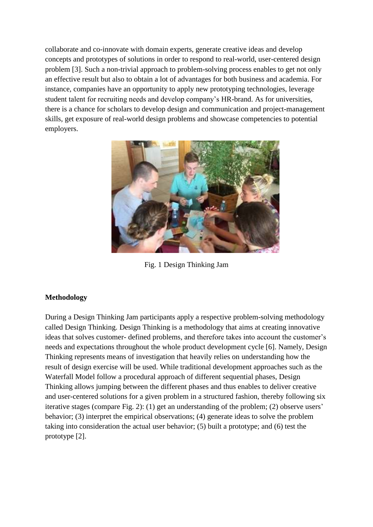collaborate and co-innovate with domain experts, generate creative ideas and develop concepts and prototypes of solutions in order to respond to real-world, user-centered design problem [3]. Such a non-trivial approach to problem-solving process enables to get not only an effective result but also to obtain a lot of advantages for both business and academia. For instance, companies have an opportunity to apply new prototyping technologies, leverage student talent for recruiting needs and develop company's HR-brand. As for universities, there is a chance for scholars to develop design and communication and project-management skills, get exposure of real-world design problems and showcase competencies to potential employers.



Fig. 1 Design Thinking Jam

## **Methodology**

During a Design Thinking Jam participants apply a respective problem-solving methodology called Design Thinking. Design Thinking is a methodology that aims at creating innovative ideas that solves customer- defined problems, and therefore takes into account the customer's needs and expectations throughout the whole product development cycle [6]. Namely, Design Thinking represents means of investigation that heavily relies on understanding how the result of design exercise will be used. While traditional development approaches such as the Waterfall Model follow a procedural approach of different sequential phases, Design Thinking allows jumping between the different phases and thus enables to deliver creative and user-centered solutions for a given problem in a structured fashion, thereby following six iterative stages (compare Fig. 2): (1) get an understanding of the problem; (2) observe users' behavior; (3) interpret the empirical observations; (4) generate ideas to solve the problem taking into consideration the actual user behavior; (5) built a prototype; and (6) test the prototype [2].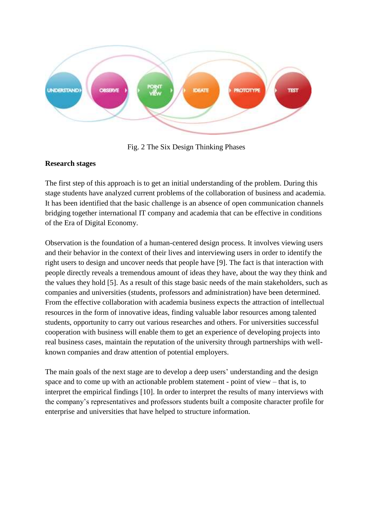

Fig. 2 The Six Design Thinking Phases

### **Research stages**

The first step of this approach is to get an initial understanding of the problem. During this stage students have analyzed current problems of the collaboration of business and academia. It has been identified that the basic challenge is an absence of open communication channels bridging together international IT company and academia that can be effective in conditions of the Era of Digital Economy.

Observation is the foundation of a human-centered design process. It involves viewing users and their behavior in the context of their lives and interviewing users in order to identify the right users to design and uncover needs that people have [9]. The fact is that interaction with people directly reveals a tremendous amount of ideas they have, about the way they think and the values they hold [5]. As a result of this stage basic needs of the main stakeholders, such as companies and universities (students, professors and administration) have been determined. From the effective collaboration with academia business expects the attraction of intellectual resources in the form of innovative ideas, finding valuable labor resources among talented students, opportunity to carry out various researches and others. For universities successful cooperation with business will enable them to get an experience of developing projects into real business cases, maintain the reputation of the university through partnerships with wellknown companies and draw attention of potential employers.

The main goals of the next stage are to develop a deep users' understanding and the design space and to come up with an actionable problem statement - point of view – that is, to interpret the empirical findings [10]. In order to interpret the results of many interviews with the company's representatives and professors students built a composite character profile for enterprise and universities that have helped to structure information.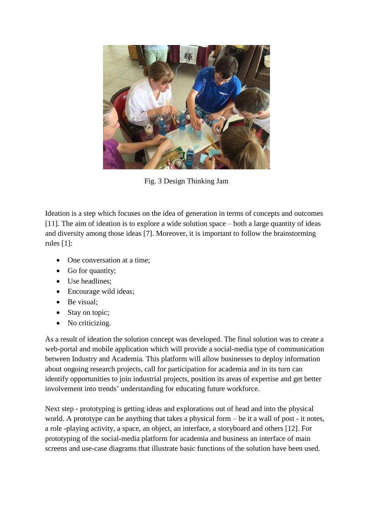

Fig. 3 Design Thinking Jam

Ideation is a step which focuses on the idea of generation in terms of concepts and outcomes [11]. The aim of ideation is to explore a wide solution space – both a large quantity of ideas and diversity among those ideas [7]. Moreover, it is important to follow the brainstorming rules [1]:

- One conversation at a time;
- Go for quantity;
- Use headlines:
- Encourage wild ideas;
- Be visual:
- Stay on topic;
- No criticizing.

As a result of ideation the solution concept was developed. The final solution was to create a web-portal and mobile application which will provide a social-media type of communication between Industry and Academia. This platform will allow businesses to deploy information about ongoing research projects, call for participation for academia and in its turn can identify opportunities to join industrial projects, position its areas of expertise and get better involvement into trends' understanding for educating future workforce.

Next step - prototyping is getting ideas and explorations out of head and into the physical world. A prototype can be anything that takes a physical form – be it a wall of post - it notes, a role -playing activity, a space, an object, an interface, a storyboard and others [12]. For prototyping of the social-media platform for academia and business an interface of main screens and use-case diagrams that illustrate basic functions of the solution have been used.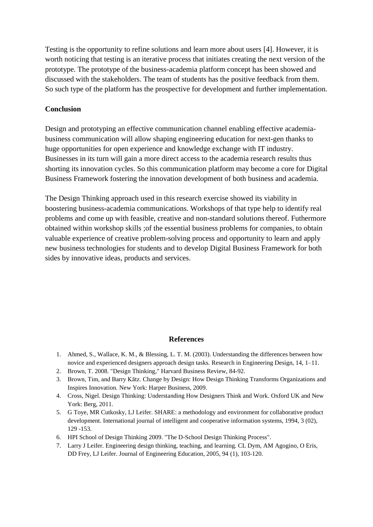Testing is the opportunity to refine solutions and learn more about users [4]. However, it is worth noticing that testing is an iterative process that initiates creating the next version of the prototype. The prototype of the business-academia platform concept has been showed and discussed with the stakeholders. The team of students has the positive feedback from them. So such type of the platform has the prospective for development and further implementation.

### **Conclusion**

Design and prototyping an effective communication channel enabling effective academiabusiness communication will allow shaping engineering education for next-gen thanks to huge opportunities for open experience and knowledge exchange with IT industry. Businesses in its turn will gain a more direct access to the academia research results thus shorting its innovation cycles. So this communication platform may become a core for Digital Business Framework fostering the innovation development of both business and academia.

The Design Thinking approach used in this research exercise showed its viability in boostering business-academia communications. Workshops of that type help to identify real problems and come up with feasible, creative and non-standard solutions thereof. Futhermore obtained within workshop skills ;of the essential business problems for companies, to obtain valuable experience of creative problem-solving process and opportunity to learn and apply new business technologies for students and to develop Digital Business Framework for both sides by innovative ideas, products and services.

#### **References**

- 1. Ahmed, S., Wallace, K. M., & Blessing, L. T. M. (2003). Understanding the differences between how novice and experienced designers approach design tasks. Research in Engineering Design, 14, 1–11.
- 2. Brown, T. 2008. "Design Thinking," Harvard Business Review, 84-92.
- 3. Brown, Tim, and Barry Kātz. Change by Design: How Design Thinking Transforms Organizations and Inspires Innovation. New York: Harper Business, 2009.
- 4. [Cross, Nigel.](https://en.wikipedia.org/wiki/Nigel_Cross) Design Thinking: Understanding How Designers Think and Work. Oxford UK and New York: Berg, 2011.
- 5. G Toye, MR Cutkosky, LJ Leifer. [SHARE: a methodology and environment for collaborative product](https://scholar.google.com/citations?view_op=view_citation&hl=en&user=4kn_m8IAAAAJ&citation_for_view=4kn_m8IAAAAJ:u-x6o8ySG0sC)  [development.](https://scholar.google.com/citations?view_op=view_citation&hl=en&user=4kn_m8IAAAAJ&citation_for_view=4kn_m8IAAAAJ:u-x6o8ySG0sC) International journal of intelligent and cooperative information systems, 1994, 3 (02), 129 -153.
- 6. HPI School of Design Thinking 2009. "The D-School Design Thinking Process".
- 7. Larry J Leifer. Engineering design thinking, teaching, and learning. CL Dym, AM Agogino, O Eris, DD Frey, LJ Leifer. Journal of Engineering Education, 2005, 94 (1), 103-120.